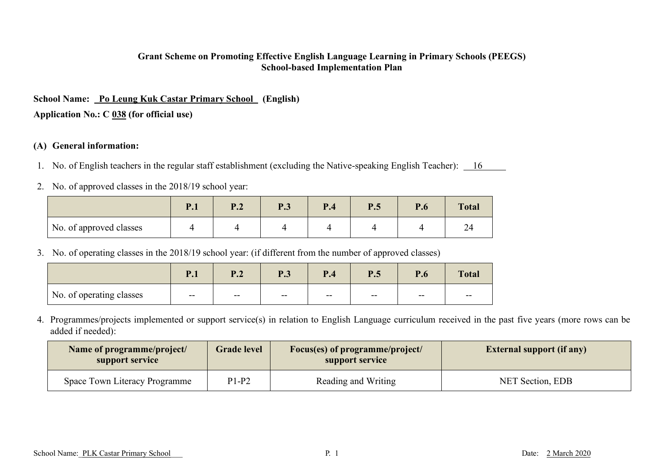#### **Grant Scheme on Promoting Effective English Language Learning in Primary Schools (PEEGS) School-based Implementation Plan**

# **School Name: Po Leung Kuk Castar Primary School (English)**

**Application No.: C 038 (for official use)**

#### **(A) General information:**

- 1. No. of English teachers in the regular staff establishment (excluding the Native-speaking English Teacher): 16
- 2. No. of approved classes in the 2018/19 school year:

|                         | P.1 | D J<br>$\blacksquare$ | <b>P.3</b> | P.4 | P.5 | P.6 | <b>Total</b> |
|-------------------------|-----|-----------------------|------------|-----|-----|-----|--------------|
| No. of approved classes |     |                       |            |     |     |     | ∠-           |

3. No. of operating classes in the 2018/19 school year: (if different from the number of approved classes)

|                          | $\mathbf{1}$ , $\mathbf{1}$ | D J<br>▪•∼ | $\bf{D}$ 2<br>1 .J | P.4   | P.5   | D<br>r.o | <b>Total</b> |
|--------------------------|-----------------------------|------------|--------------------|-------|-------|----------|--------------|
| No. of operating classes | $--$                        | $- -$      | $- -$              | $- -$ | $- -$ | $- -$    | $- -$        |

4. Programmes/projects implemented or support service(s) in relation to English Language curriculum received in the past five years (more rows can be added if needed):

| <b>Grade level</b><br>Name of programme/project/<br>support service<br>support service |         | Focus(es) of programme/project/ | <b>External support (if any)</b> |
|----------------------------------------------------------------------------------------|---------|---------------------------------|----------------------------------|
| Space Town Literacy Programme                                                          | $P1-P2$ | Reading and Writing             | NET Section, EDB                 |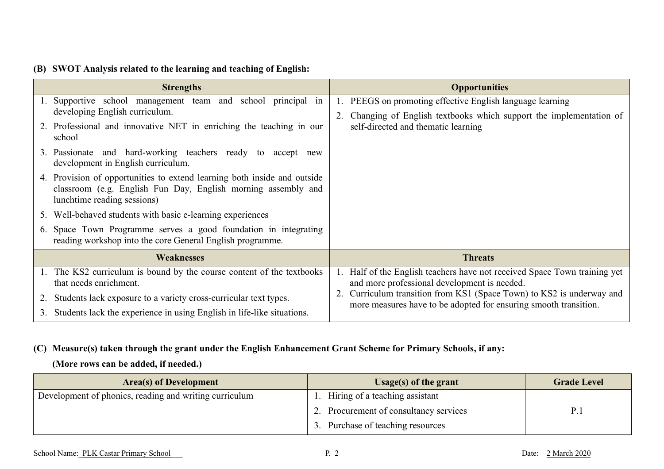### **(B) SWOT Analysis related to the learning and teaching of English:**

| <b>Strengths</b>                                                                                                                                                         | <b>Opportunities</b>                                                                                                                                                                               |
|--------------------------------------------------------------------------------------------------------------------------------------------------------------------------|----------------------------------------------------------------------------------------------------------------------------------------------------------------------------------------------------|
| 1. Supportive school management team and school principal in<br>developing English curriculum.                                                                           | PEEGS on promoting effective English language learning<br>1.<br>Changing of English textbooks which support the implementation of                                                                  |
| 2. Professional and innovative NET in enriching the teaching in our<br>school                                                                                            | self-directed and thematic learning                                                                                                                                                                |
| 3. Passionate and hard-working teachers ready to accept new<br>development in English curriculum.                                                                        |                                                                                                                                                                                                    |
| 4. Provision of opportunities to extend learning both inside and outside<br>classroom (e.g. English Fun Day, English morning assembly and<br>lunchtime reading sessions) |                                                                                                                                                                                                    |
| 5. Well-behaved students with basic e-learning experiences                                                                                                               |                                                                                                                                                                                                    |
| Space Town Programme serves a good foundation in integrating<br>6.<br>reading workshop into the core General English programme.                                          |                                                                                                                                                                                                    |
| <b>Weaknesses</b>                                                                                                                                                        | <b>Threats</b>                                                                                                                                                                                     |
| The KS2 curriculum is bound by the course content of the textbooks<br>that needs enrichment.                                                                             | Half of the English teachers have not received Space Town training yet<br>1.<br>and more professional development is needed.<br>Curriculum transition from KS1 (Space Town) to KS2 is underway and |
| Students lack exposure to a variety cross-curricular text types.<br>3. Students lack the experience in using English in life-like situations.                            | more measures have to be adopted for ensuring smooth transition.                                                                                                                                   |

### **(C) Measure(s) taken through the grant under the English Enhancement Grant Scheme for Primary Schools, if any:**

**(More rows can be added, if needed.)**

| Area(s) of Development                                 | Usage(s) of the grant                  | <b>Grade Level</b> |
|--------------------------------------------------------|----------------------------------------|--------------------|
| Development of phonics, reading and writing curriculum | Hiring of a teaching assistant         |                    |
|                                                        | 2. Procurement of consultancy services | P.1                |
|                                                        | Purchase of teaching resources         |                    |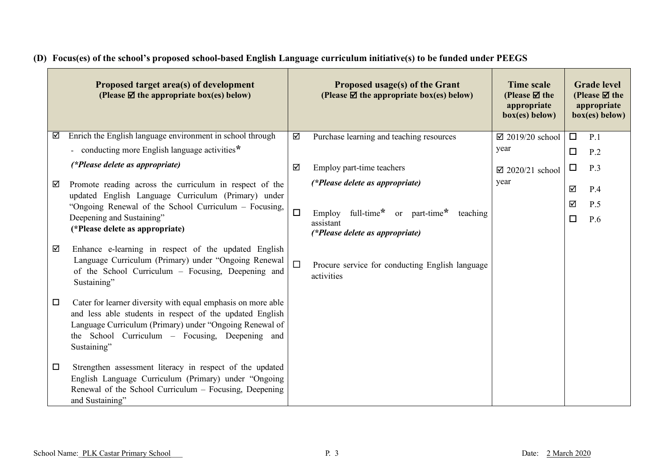| Proposed target area(s) of development<br>(Please $\mathbf{\nabla}$ the appropriate box(es) below)                                                                                                                                                              |        | <b>Proposed usage(s) of the Grant</b><br>(Please $\boxtimes$ the appropriate box(es) below) | <b>Time scale</b><br>(Please $\boxtimes$ the<br>appropriate<br>box(es) below) |        | <b>Grade</b> level<br>(Please $\boxtimes$ the<br>appropriate<br>box(es) below) |
|-----------------------------------------------------------------------------------------------------------------------------------------------------------------------------------------------------------------------------------------------------------------|--------|---------------------------------------------------------------------------------------------|-------------------------------------------------------------------------------|--------|--------------------------------------------------------------------------------|
| Enrich the English language environment in school through<br>☑                                                                                                                                                                                                  | ☑      | Purchase learning and teaching resources                                                    | $\boxtimes$ 2019/20 school                                                    | $\Box$ | P.1                                                                            |
| - conducting more English language activities*                                                                                                                                                                                                                  |        |                                                                                             | year                                                                          | $\Box$ | P.2                                                                            |
| (*Please delete as appropriate)                                                                                                                                                                                                                                 | ☑      | Employ part-time teachers                                                                   | $\boxtimes$ 2020/21 school                                                    | □      | P.3                                                                            |
| Promote reading across the curriculum in respect of the<br>☑<br>updated English Language Curriculum (Primary) under                                                                                                                                             |        | (*Please delete as appropriate)                                                             | year                                                                          | ☑      | P.4                                                                            |
| "Ongoing Renewal of the School Curriculum - Focusing,                                                                                                                                                                                                           |        |                                                                                             |                                                                               | ☑      | P.5                                                                            |
| Deepening and Sustaining"<br>(*Please delete as appropriate)                                                                                                                                                                                                    | $\Box$ | full-time* or part-time*<br>Employ<br>teaching<br>assistant                                 |                                                                               | $\Box$ | P.6                                                                            |
|                                                                                                                                                                                                                                                                 |        | (*Please delete as appropriate)                                                             |                                                                               |        |                                                                                |
| Enhance e-learning in respect of the updated English<br>☑<br>Language Curriculum (Primary) under "Ongoing Renewal<br>of the School Curriculum - Focusing, Deepening and<br>Sustaining"                                                                          |        | Procure service for conducting English language<br>activities                               |                                                                               |        |                                                                                |
| Cater for learner diversity with equal emphasis on more able<br>$\Box$<br>and less able students in respect of the updated English<br>Language Curriculum (Primary) under "Ongoing Renewal of<br>the School Curriculum – Focusing, Deepening and<br>Sustaining" |        |                                                                                             |                                                                               |        |                                                                                |
| Strengthen assessment literacy in respect of the updated<br>$\Box$<br>English Language Curriculum (Primary) under "Ongoing<br>Renewal of the School Curriculum - Focusing, Deepening<br>and Sustaining"                                                         |        |                                                                                             |                                                                               |        |                                                                                |

# **(D) Focus(es) of the school's proposed school-based English Language curriculum initiative(s) to be funded under PEEGS**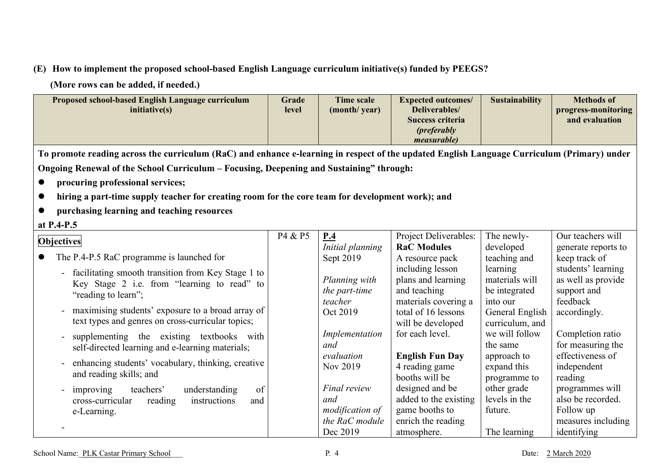# **(E) How to implement the proposed school-based English Language curriculum initiative(s) funded by PEEGS?**

**(More rows can be added, if needed.)**

|                                                                                                                                             | Proposed school-based English Language curriculum<br>initiative(s)                                                                             | Grade<br>level | <b>Time scale</b><br>(month/year)                                    | <b>Expected outcomes/</b><br>Deliverables/<br><b>Success criteria</b><br>( <i>preferably</i><br><i>measurable</i> ) | <b>Sustainability</b>                                   | <b>Methods of</b><br>progress-monitoring<br>and evaluation                             |  |  |
|---------------------------------------------------------------------------------------------------------------------------------------------|------------------------------------------------------------------------------------------------------------------------------------------------|----------------|----------------------------------------------------------------------|---------------------------------------------------------------------------------------------------------------------|---------------------------------------------------------|----------------------------------------------------------------------------------------|--|--|
| To promote reading across the curriculum (RaC) and enhance e-learning in respect of the updated English Language Curriculum (Primary) under |                                                                                                                                                |                |                                                                      |                                                                                                                     |                                                         |                                                                                        |  |  |
|                                                                                                                                             | Ongoing Renewal of the School Curriculum - Focusing, Deepening and Sustaining" through:                                                        |                |                                                                      |                                                                                                                     |                                                         |                                                                                        |  |  |
|                                                                                                                                             | procuring professional services;                                                                                                               |                |                                                                      |                                                                                                                     |                                                         |                                                                                        |  |  |
|                                                                                                                                             | hiring a part-time supply teacher for creating room for the core team for development work); and                                               |                |                                                                      |                                                                                                                     |                                                         |                                                                                        |  |  |
|                                                                                                                                             | purchasing learning and teaching resources                                                                                                     |                |                                                                      |                                                                                                                     |                                                         |                                                                                        |  |  |
|                                                                                                                                             | at P.4-P.5                                                                                                                                     |                |                                                                      |                                                                                                                     |                                                         |                                                                                        |  |  |
|                                                                                                                                             | <b>Objectives</b>                                                                                                                              | P4 & P5        | P.4<br>Initial planning                                              | Project Deliverables:<br><b>RaC Modules</b>                                                                         | The newly-<br>developed                                 | Our teachers will<br>generate reports to                                               |  |  |
|                                                                                                                                             | The P.4-P.5 RaC programme is launched for                                                                                                      |                | Sept 2019                                                            | A resource pack                                                                                                     | teaching and                                            | keep track of                                                                          |  |  |
|                                                                                                                                             | facilitating smooth transition from Key Stage 1 to<br>Key Stage 2 i.e. from "learning to read" to<br>"reading to learn";                       |                | Planning with<br>the part-time<br>teacher                            | including lesson<br>plans and learning<br>and teaching<br>materials covering a                                      | learning<br>materials will<br>be integrated<br>into our | students' learning<br>as well as provide<br>support and<br>feedback                    |  |  |
|                                                                                                                                             | maximising students' exposure to a broad array of<br>$\overline{a}$<br>text types and genres on cross-curricular topics;                       |                | Oct 2019                                                             | total of 16 lessons<br>will be developed                                                                            | General English<br>curriculum, and                      | accordingly.                                                                           |  |  |
|                                                                                                                                             | supplementing the existing textbooks<br>with<br>self-directed learning and e-learning materials;                                               |                | Implementation<br>and                                                | for each level.                                                                                                     | we will follow<br>the same                              | Completion ratio<br>for measuring the                                                  |  |  |
|                                                                                                                                             | enhancing students' vocabulary, thinking, creative<br>$\overline{a}$<br>and reading skills; and                                                |                | evaluation<br>Nov 2019                                               | <b>English Fun Day</b><br>4 reading game<br>booths will be                                                          | approach to<br>expand this<br>programme to              | effectiveness of<br>independent<br>reading                                             |  |  |
|                                                                                                                                             | of<br>teachers'<br>understanding<br>improving<br>$\overline{\phantom{a}}$<br>cross-curricular<br>reading<br>instructions<br>and<br>e-Learning. |                | Final review<br>and<br>modification of<br>the RaC module<br>Dec 2019 | designed and be<br>added to the existing<br>game booths to<br>enrich the reading<br>atmosphere.                     | other grade<br>levels in the<br>future.<br>The learning | programmes will<br>also be recorded.<br>Follow up<br>measures including<br>identifying |  |  |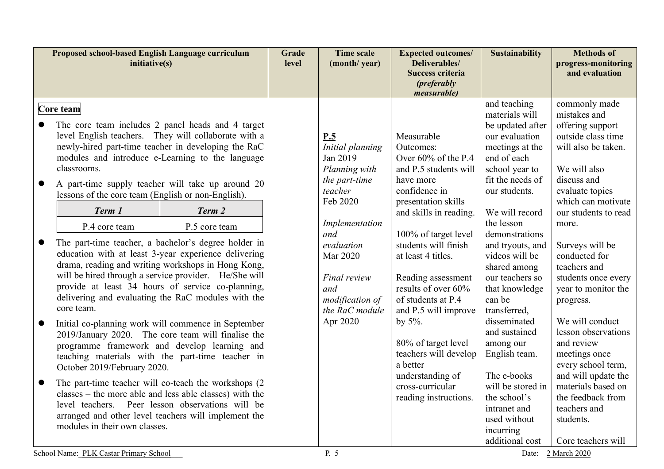| Proposed school-based English Language curriculum<br>initiative(s)                                                                                                                                                                                                                                                                                                                                                                                                                                                                                                                                                                                                                                                                                                                                                                                                                                                                                                                                                                                                                                                                                                                                                                                                                                      | Grade<br>level | <b>Time scale</b><br>(month/year)                                                                                                                                                                                       | <b>Expected outcomes/</b><br>Deliverables/<br><b>Success criteria</b><br>( <i>preferably</i><br><i>measurable</i> )                                                                                                                                                                                                                                                                                                                                                   | <b>Sustainability</b>                                                                                                                                                                                                                                                                                                                                                                                                                                                                                                   | <b>Methods of</b><br>progress-monitoring<br>and evaluation                                                                                                                                                                                                                                                                                                                                                                                                                                                                                 |
|---------------------------------------------------------------------------------------------------------------------------------------------------------------------------------------------------------------------------------------------------------------------------------------------------------------------------------------------------------------------------------------------------------------------------------------------------------------------------------------------------------------------------------------------------------------------------------------------------------------------------------------------------------------------------------------------------------------------------------------------------------------------------------------------------------------------------------------------------------------------------------------------------------------------------------------------------------------------------------------------------------------------------------------------------------------------------------------------------------------------------------------------------------------------------------------------------------------------------------------------------------------------------------------------------------|----------------|-------------------------------------------------------------------------------------------------------------------------------------------------------------------------------------------------------------------------|-----------------------------------------------------------------------------------------------------------------------------------------------------------------------------------------------------------------------------------------------------------------------------------------------------------------------------------------------------------------------------------------------------------------------------------------------------------------------|-------------------------------------------------------------------------------------------------------------------------------------------------------------------------------------------------------------------------------------------------------------------------------------------------------------------------------------------------------------------------------------------------------------------------------------------------------------------------------------------------------------------------|--------------------------------------------------------------------------------------------------------------------------------------------------------------------------------------------------------------------------------------------------------------------------------------------------------------------------------------------------------------------------------------------------------------------------------------------------------------------------------------------------------------------------------------------|
| Core team<br>The core team includes 2 panel heads and 4 target<br>level English teachers. They will collaborate with a<br>newly-hired part-time teacher in developing the RaC<br>modules and introduce e-Learning to the language<br>classrooms.<br>A part-time supply teacher will take up around 20<br>lessons of the core team (English or non-English).<br>Term 2<br>Term 1<br>P.5 core team<br>P.4 core team<br>The part-time teacher, a bachelor's degree holder in<br>education with at least 3-year experience delivering<br>drama, reading and writing workshops in Hong Kong,<br>will be hired through a service provider. He/She will<br>provide at least 34 hours of service co-planning,<br>delivering and evaluating the RaC modules with the<br>core team.<br>Initial co-planning work will commence in September<br>2019/January 2020. The core team will finalise the<br>programme framework and develop learning and<br>teaching materials with the part-time teacher in<br>October 2019/February 2020.<br>The part-time teacher will co-teach the workshops (2)<br>$\bullet$<br>classes – the more able and less able classes) with the<br>level teachers. Peer lesson observations will be<br>arranged and other level teachers will implement the<br>modules in their own classes. |                | P.5<br>Initial planning<br>Jan 2019<br>Planning with<br>the part-time<br>teacher<br>Feb 2020<br>Implementation<br>and<br>evaluation<br>Mar 2020<br>Final review<br>and<br>modification of<br>the RaC module<br>Apr 2020 | Measurable<br>Outcomes:<br>Over $60\%$ of the P.4<br>and P.5 students will<br>have more<br>confidence in<br>presentation skills<br>and skills in reading.<br>100% of target level<br>students will finish<br>at least 4 titles.<br>Reading assessment<br>results of over 60%<br>of students at P.4<br>and P.5 will improve<br>by $5\%$ .<br>80% of target level<br>teachers will develop<br>a better<br>understanding of<br>cross-curricular<br>reading instructions. | and teaching<br>materials will<br>be updated after<br>our evaluation<br>meetings at the<br>end of each<br>school year to<br>fit the needs of<br>our students.<br>We will record<br>the lesson<br>demonstrations<br>and tryouts, and<br>videos will be<br>shared among<br>our teachers so<br>that knowledge<br>can be<br>transferred,<br>disseminated<br>and sustained<br>among our<br>English team.<br>The e-books<br>will be stored in<br>the school's<br>intranet and<br>used without<br>incurring<br>additional cost | commonly made<br>mistakes and<br>offering support<br>outside class time<br>will also be taken.<br>We will also<br>discuss and<br>evaluate topics<br>which can motivate<br>our students to read<br>more.<br>Surveys will be<br>conducted for<br>teachers and<br>students once every<br>year to monitor the<br>progress.<br>We will conduct<br>lesson observations<br>and review<br>meetings once<br>every school term,<br>and will update the<br>materials based on<br>the feedback from<br>teachers and<br>students.<br>Core teachers will |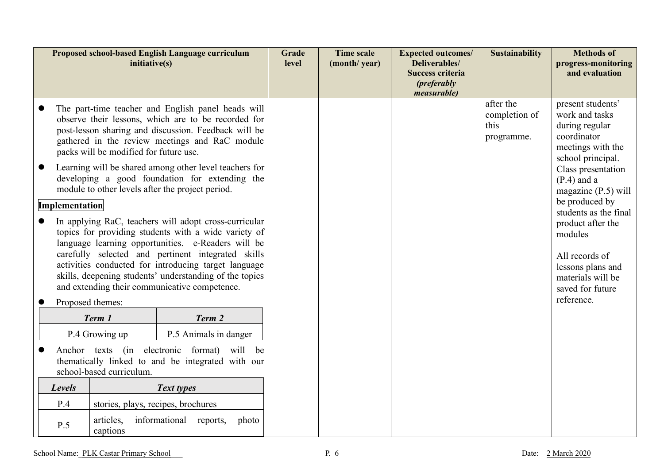|                                                                                                                              |                                                                                                                                                                                                                                                                                                                                                                           | initiative(s)         | Proposed school-based English Language curriculum                                                                                                                                                                                                                                                                                                                                             | Grade<br>level | <b>Time scale</b><br>(month/year) | <b>Expected outcomes/</b><br>Deliverables/<br><b>Success criteria</b><br>( <i>preferably</i><br><i>measurable</i> ) | <b>Sustainability</b>                                                                                                                | <b>Methods of</b><br>progress-monitoring<br>and evaluation                                                                                          |
|------------------------------------------------------------------------------------------------------------------------------|---------------------------------------------------------------------------------------------------------------------------------------------------------------------------------------------------------------------------------------------------------------------------------------------------------------------------------------------------------------------------|-----------------------|-----------------------------------------------------------------------------------------------------------------------------------------------------------------------------------------------------------------------------------------------------------------------------------------------------------------------------------------------------------------------------------------------|----------------|-----------------------------------|---------------------------------------------------------------------------------------------------------------------|--------------------------------------------------------------------------------------------------------------------------------------|-----------------------------------------------------------------------------------------------------------------------------------------------------|
|                                                                                                                              | The part-time teacher and English panel heads will<br>observe their lessons, which are to be recorded for<br>post-lesson sharing and discussion. Feedback will be<br>gathered in the review meetings and RaC module<br>packs will be modified for future use.<br>Learning will be shared among other level teachers for<br>developing a good foundation for extending the |                       |                                                                                                                                                                                                                                                                                                                                                                                               |                |                                   | after the<br>completion of<br>this<br>programme.                                                                    | present students'<br>work and tasks<br>during regular<br>coordinator<br>meetings with the<br>school principal.<br>Class presentation |                                                                                                                                                     |
|                                                                                                                              |                                                                                                                                                                                                                                                                                                                                                                           |                       | module to other levels after the project period.                                                                                                                                                                                                                                                                                                                                              |                |                                   |                                                                                                                     |                                                                                                                                      | $(P.4)$ and a<br>magazine $(P.5)$ will<br>be produced by                                                                                            |
|                                                                                                                              | Implementation                                                                                                                                                                                                                                                                                                                                                            | Proposed themes:      | In applying RaC, teachers will adopt cross-curricular<br>topics for providing students with a wide variety of<br>language learning opportunities. e-Readers will be<br>carefully selected and pertinent integrated skills<br>activities conducted for introducing target language<br>skills, deepening students' understanding of the topics<br>and extending their communicative competence. |                |                                   |                                                                                                                     |                                                                                                                                      | students as the final<br>product after the<br>modules<br>All records of<br>lessons plans and<br>materials will be<br>saved for future<br>reference. |
|                                                                                                                              |                                                                                                                                                                                                                                                                                                                                                                           | Term 1                | Term 2                                                                                                                                                                                                                                                                                                                                                                                        |                |                                   |                                                                                                                     |                                                                                                                                      |                                                                                                                                                     |
|                                                                                                                              |                                                                                                                                                                                                                                                                                                                                                                           | P.4 Growing up        | P.5 Animals in danger                                                                                                                                                                                                                                                                                                                                                                         |                |                                   |                                                                                                                     |                                                                                                                                      |                                                                                                                                                     |
| Anchor texts (in electronic format) will be<br>thematically linked to and be integrated with our<br>school-based curriculum. |                                                                                                                                                                                                                                                                                                                                                                           |                       |                                                                                                                                                                                                                                                                                                                                                                                               |                |                                   |                                                                                                                     |                                                                                                                                      |                                                                                                                                                     |
|                                                                                                                              | Text types<br>Levels                                                                                                                                                                                                                                                                                                                                                      |                       |                                                                                                                                                                                                                                                                                                                                                                                               |                |                                   |                                                                                                                     |                                                                                                                                      |                                                                                                                                                     |
| P.4<br>stories, plays, recipes, brochures                                                                                    |                                                                                                                                                                                                                                                                                                                                                                           |                       |                                                                                                                                                                                                                                                                                                                                                                                               |                |                                   |                                                                                                                     |                                                                                                                                      |                                                                                                                                                     |
|                                                                                                                              | P.5                                                                                                                                                                                                                                                                                                                                                                       | articles,<br>captions | informational reports,<br>photo                                                                                                                                                                                                                                                                                                                                                               |                |                                   |                                                                                                                     |                                                                                                                                      |                                                                                                                                                     |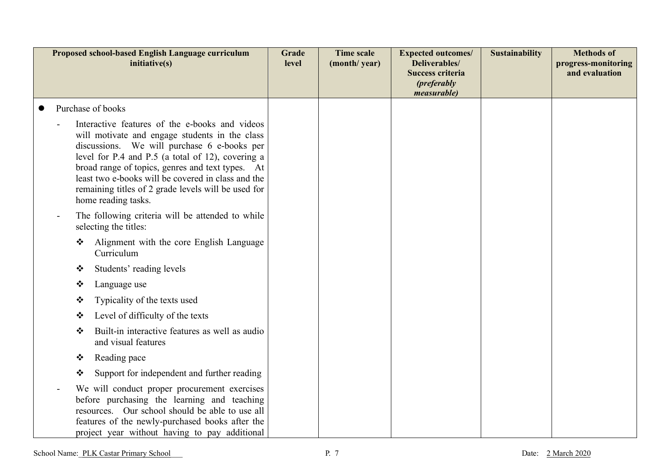| Proposed school-based English Language curriculum<br>initiative(s) |                                                                                                                                                                                                                                                                                                                                                                                              |                                                                                                                                                                                                                                                    | Grade<br>level | <b>Time scale</b><br>(month/year) | <b>Expected outcomes/</b><br>Deliverables/<br><b>Success criteria</b><br>( <i>preferably</i><br>measurable) | <b>Sustainability</b> | <b>Methods of</b><br>progress-monitoring<br>and evaluation |
|--------------------------------------------------------------------|----------------------------------------------------------------------------------------------------------------------------------------------------------------------------------------------------------------------------------------------------------------------------------------------------------------------------------------------------------------------------------------------|----------------------------------------------------------------------------------------------------------------------------------------------------------------------------------------------------------------------------------------------------|----------------|-----------------------------------|-------------------------------------------------------------------------------------------------------------|-----------------------|------------------------------------------------------------|
|                                                                    |                                                                                                                                                                                                                                                                                                                                                                                              | Purchase of books                                                                                                                                                                                                                                  |                |                                   |                                                                                                             |                       |                                                            |
|                                                                    | Interactive features of the e-books and videos<br>will motivate and engage students in the class<br>discussions. We will purchase 6 e-books per<br>level for P.4 and P.5 (a total of 12), covering a<br>broad range of topics, genres and text types. At<br>least two e-books will be covered in class and the<br>remaining titles of 2 grade levels will be used for<br>home reading tasks. |                                                                                                                                                                                                                                                    |                |                                   |                                                                                                             |                       |                                                            |
|                                                                    |                                                                                                                                                                                                                                                                                                                                                                                              | The following criteria will be attended to while<br>selecting the titles:                                                                                                                                                                          |                |                                   |                                                                                                             |                       |                                                            |
|                                                                    | ❖                                                                                                                                                                                                                                                                                                                                                                                            | Alignment with the core English Language<br>Curriculum                                                                                                                                                                                             |                |                                   |                                                                                                             |                       |                                                            |
|                                                                    | ❖                                                                                                                                                                                                                                                                                                                                                                                            | Students' reading levels                                                                                                                                                                                                                           |                |                                   |                                                                                                             |                       |                                                            |
|                                                                    | ❖                                                                                                                                                                                                                                                                                                                                                                                            | Language use                                                                                                                                                                                                                                       |                |                                   |                                                                                                             |                       |                                                            |
|                                                                    | ❖                                                                                                                                                                                                                                                                                                                                                                                            | Typicality of the texts used                                                                                                                                                                                                                       |                |                                   |                                                                                                             |                       |                                                            |
|                                                                    | ❖                                                                                                                                                                                                                                                                                                                                                                                            | Level of difficulty of the texts                                                                                                                                                                                                                   |                |                                   |                                                                                                             |                       |                                                            |
|                                                                    | ❖                                                                                                                                                                                                                                                                                                                                                                                            | Built-in interactive features as well as audio<br>and visual features                                                                                                                                                                              |                |                                   |                                                                                                             |                       |                                                            |
|                                                                    | ❖                                                                                                                                                                                                                                                                                                                                                                                            | Reading pace                                                                                                                                                                                                                                       |                |                                   |                                                                                                             |                       |                                                            |
|                                                                    | ❖                                                                                                                                                                                                                                                                                                                                                                                            | Support for independent and further reading                                                                                                                                                                                                        |                |                                   |                                                                                                             |                       |                                                            |
|                                                                    |                                                                                                                                                                                                                                                                                                                                                                                              | We will conduct proper procurement exercises<br>before purchasing the learning and teaching<br>resources. Our school should be able to use all<br>features of the newly-purchased books after the<br>project year without having to pay additional |                |                                   |                                                                                                             |                       |                                                            |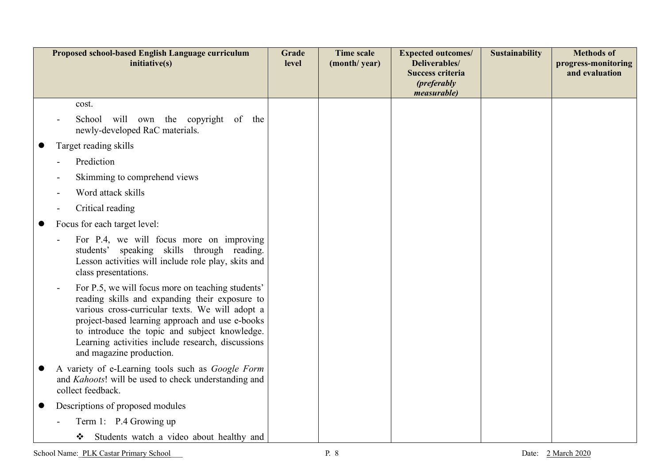| Proposed school-based English Language curriculum<br>initiative(s)                                                                                                                                                                                                                                                                          | Grade<br>level | <b>Time scale</b><br>(month/year) | <b>Expected outcomes/</b><br>Deliverables/<br><b>Success criteria</b><br>( <i>preferably</i><br><i>measurable</i> ) | <b>Sustainability</b> | <b>Methods of</b><br>progress-monitoring<br>and evaluation |
|---------------------------------------------------------------------------------------------------------------------------------------------------------------------------------------------------------------------------------------------------------------------------------------------------------------------------------------------|----------------|-----------------------------------|---------------------------------------------------------------------------------------------------------------------|-----------------------|------------------------------------------------------------|
| cost.                                                                                                                                                                                                                                                                                                                                       |                |                                   |                                                                                                                     |                       |                                                            |
| School will own the copyright of the<br>newly-developed RaC materials.                                                                                                                                                                                                                                                                      |                |                                   |                                                                                                                     |                       |                                                            |
| Target reading skills                                                                                                                                                                                                                                                                                                                       |                |                                   |                                                                                                                     |                       |                                                            |
| Prediction                                                                                                                                                                                                                                                                                                                                  |                |                                   |                                                                                                                     |                       |                                                            |
| Skimming to comprehend views                                                                                                                                                                                                                                                                                                                |                |                                   |                                                                                                                     |                       |                                                            |
| Word attack skills                                                                                                                                                                                                                                                                                                                          |                |                                   |                                                                                                                     |                       |                                                            |
| Critical reading                                                                                                                                                                                                                                                                                                                            |                |                                   |                                                                                                                     |                       |                                                            |
| Focus for each target level:                                                                                                                                                                                                                                                                                                                |                |                                   |                                                                                                                     |                       |                                                            |
| For P.4, we will focus more on improving<br>students' speaking skills through reading.<br>Lesson activities will include role play, skits and<br>class presentations.                                                                                                                                                                       |                |                                   |                                                                                                                     |                       |                                                            |
| For P.5, we will focus more on teaching students'<br>reading skills and expanding their exposure to<br>various cross-curricular texts. We will adopt a<br>project-based learning approach and use e-books<br>to introduce the topic and subject knowledge.<br>Learning activities include research, discussions<br>and magazine production. |                |                                   |                                                                                                                     |                       |                                                            |
| A variety of e-Learning tools such as Google Form<br>and <i>Kahoots</i> ! will be used to check understanding and<br>collect feedback.                                                                                                                                                                                                      |                |                                   |                                                                                                                     |                       |                                                            |
| Descriptions of proposed modules                                                                                                                                                                                                                                                                                                            |                |                                   |                                                                                                                     |                       |                                                            |
| Term 1: P.4 Growing up                                                                                                                                                                                                                                                                                                                      |                |                                   |                                                                                                                     |                       |                                                            |
| Students watch a video about healthy and<br>❖                                                                                                                                                                                                                                                                                               |                |                                   |                                                                                                                     |                       |                                                            |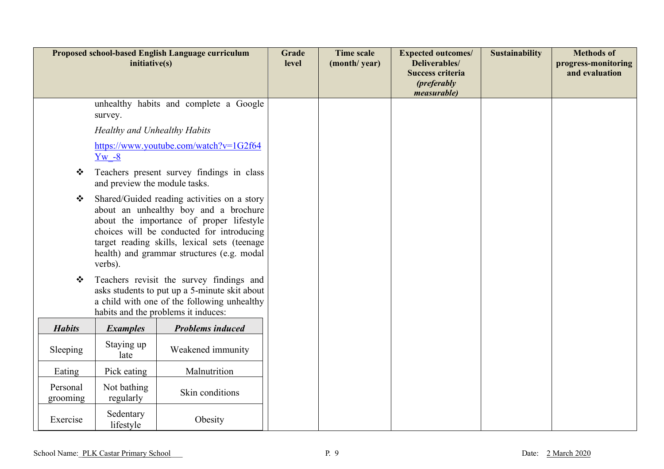| Proposed school-based English Language curriculum<br>initiative(s) |                                                                                                                                                                                                                                                                                        |                                        | Grade<br>level | <b>Time scale</b><br>(month/year) | <b>Expected outcomes/</b><br>Deliverables/<br><b>Success criteria</b><br>( <i>preferably</i><br>measurable) | <b>Sustainability</b> | <b>Methods of</b><br>progress-monitoring<br>and evaluation |
|--------------------------------------------------------------------|----------------------------------------------------------------------------------------------------------------------------------------------------------------------------------------------------------------------------------------------------------------------------------------|----------------------------------------|----------------|-----------------------------------|-------------------------------------------------------------------------------------------------------------|-----------------------|------------------------------------------------------------|
|                                                                    | survey.                                                                                                                                                                                                                                                                                | unhealthy habits and complete a Google |                |                                   |                                                                                                             |                       |                                                            |
|                                                                    | Healthy and Unhealthy Habits                                                                                                                                                                                                                                                           |                                        |                |                                   |                                                                                                             |                       |                                                            |
|                                                                    | $Yw - 8$                                                                                                                                                                                                                                                                               | https://www.youtube.com/watch?v=1G2f64 |                |                                   |                                                                                                             |                       |                                                            |
| ❖                                                                  | Teachers present survey findings in class<br>and preview the module tasks.                                                                                                                                                                                                             |                                        |                |                                   |                                                                                                             |                       |                                                            |
| $\frac{1}{2}$                                                      | Shared/Guided reading activities on a story<br>about an unhealthy boy and a brochure<br>about the importance of proper lifestyle<br>choices will be conducted for introducing<br>target reading skills, lexical sets (teenage<br>health) and grammar structures (e.g. modal<br>verbs). |                                        |                |                                   |                                                                                                             |                       |                                                            |
| ❖                                                                  | Teachers revisit the survey findings and<br>asks students to put up a 5-minute skit about<br>a child with one of the following unhealthy<br>habits and the problems it induces:                                                                                                        |                                        |                |                                   |                                                                                                             |                       |                                                            |
| <b>Habits</b>                                                      | <b>Examples</b>                                                                                                                                                                                                                                                                        | <b>Problems induced</b>                |                |                                   |                                                                                                             |                       |                                                            |
| Sleeping                                                           | Staying up<br>late                                                                                                                                                                                                                                                                     | Weakened immunity                      |                |                                   |                                                                                                             |                       |                                                            |
| Eating                                                             | Pick eating                                                                                                                                                                                                                                                                            | Malnutrition                           |                |                                   |                                                                                                             |                       |                                                            |
| Personal<br>grooming                                               | Not bathing<br>regularly                                                                                                                                                                                                                                                               | Skin conditions                        |                |                                   |                                                                                                             |                       |                                                            |
| Exercise                                                           | Sedentary<br>lifestyle                                                                                                                                                                                                                                                                 | Obesity                                |                |                                   |                                                                                                             |                       |                                                            |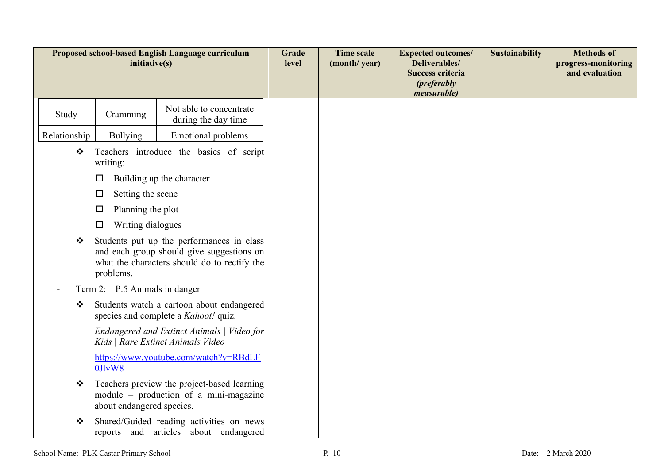| Proposed school-based English Language curriculum<br>initiative(s) |                                                                                                                                                     |                                                                                       | Grade<br>level | <b>Time scale</b><br>(month/year) | <b>Expected outcomes/</b><br>Deliverables/<br><b>Success criteria</b><br>( <i>preferably</i><br><i>measurable</i> ) | <b>Sustainability</b> | <b>Methods of</b><br>progress-monitoring<br>and evaluation |
|--------------------------------------------------------------------|-----------------------------------------------------------------------------------------------------------------------------------------------------|---------------------------------------------------------------------------------------|----------------|-----------------------------------|---------------------------------------------------------------------------------------------------------------------|-----------------------|------------------------------------------------------------|
| Study                                                              | Cramming                                                                                                                                            | Not able to concentrate<br>during the day time                                        |                |                                   |                                                                                                                     |                       |                                                            |
| Relationship                                                       | <b>Bullying</b>                                                                                                                                     | <b>Emotional problems</b>                                                             |                |                                   |                                                                                                                     |                       |                                                            |
| ❖                                                                  | Teachers introduce the basics of script<br>writing:                                                                                                 |                                                                                       |                |                                   |                                                                                                                     |                       |                                                            |
|                                                                    | Building up the character<br>ப                                                                                                                      |                                                                                       |                |                                   |                                                                                                                     |                       |                                                            |
|                                                                    | Setting the scene<br>$\Box$                                                                                                                         |                                                                                       |                |                                   |                                                                                                                     |                       |                                                            |
|                                                                    | Planning the plot<br>□                                                                                                                              |                                                                                       |                |                                   |                                                                                                                     |                       |                                                            |
|                                                                    | Writing dialogues<br>$\Box$                                                                                                                         |                                                                                       |                |                                   |                                                                                                                     |                       |                                                            |
| ❖                                                                  | Students put up the performances in class<br>and each group should give suggestions on<br>what the characters should do to rectify the<br>problems. |                                                                                       |                |                                   |                                                                                                                     |                       |                                                            |
| Term 2: P.5 Animals in danger                                      |                                                                                                                                                     |                                                                                       |                |                                   |                                                                                                                     |                       |                                                            |
| ❖                                                                  | Students watch a cartoon about endangered<br>species and complete a <i>Kahoot!</i> quiz.                                                            |                                                                                       |                |                                   |                                                                                                                     |                       |                                                            |
|                                                                    |                                                                                                                                                     | Endangered and Extinct Animals   Video for<br>Kids   Rare Extinct Animals Video       |                |                                   |                                                                                                                     |                       |                                                            |
|                                                                    | 0JlvW8                                                                                                                                              | https://www.youtube.com/watch?v=RBdLF                                                 |                |                                   |                                                                                                                     |                       |                                                            |
| ❖                                                                  | about endangered species.                                                                                                                           | Teachers preview the project-based learning<br>module – production of a mini-magazine |                |                                   |                                                                                                                     |                       |                                                            |
| ❖                                                                  |                                                                                                                                                     | Shared/Guided reading activities on news<br>reports and articles about endangered     |                |                                   |                                                                                                                     |                       |                                                            |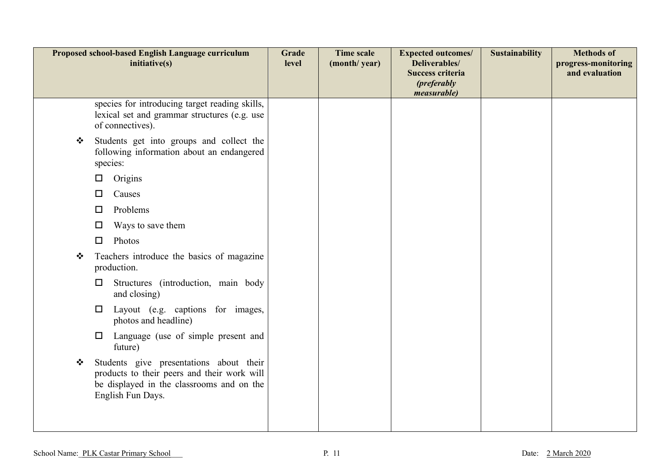| Proposed school-based English Language curriculum<br>initiative(s) |                                                                                                                                                          | Grade<br>level | <b>Time scale</b><br>(month/year) | <b>Expected outcomes/</b><br>Deliverables/<br>Success criteria<br>( <i>preferably</i><br>measurable) | <b>Sustainability</b> | <b>Methods of</b><br>progress-monitoring<br>and evaluation |
|--------------------------------------------------------------------|----------------------------------------------------------------------------------------------------------------------------------------------------------|----------------|-----------------------------------|------------------------------------------------------------------------------------------------------|-----------------------|------------------------------------------------------------|
|                                                                    | species for introducing target reading skills,<br>lexical set and grammar structures (e.g. use<br>of connectives).                                       |                |                                   |                                                                                                      |                       |                                                            |
| ❖                                                                  | Students get into groups and collect the<br>following information about an endangered<br>species:                                                        |                |                                   |                                                                                                      |                       |                                                            |
|                                                                    | Origins<br>□                                                                                                                                             |                |                                   |                                                                                                      |                       |                                                            |
|                                                                    | Causes<br>□                                                                                                                                              |                |                                   |                                                                                                      |                       |                                                            |
|                                                                    | Problems<br>□                                                                                                                                            |                |                                   |                                                                                                      |                       |                                                            |
|                                                                    | Ways to save them<br>□                                                                                                                                   |                |                                   |                                                                                                      |                       |                                                            |
|                                                                    | Photos<br>$\Box$                                                                                                                                         |                |                                   |                                                                                                      |                       |                                                            |
| ❖                                                                  | Teachers introduce the basics of magazine<br>production.                                                                                                 |                |                                   |                                                                                                      |                       |                                                            |
|                                                                    | Structures (introduction, main body<br>$\Box$<br>and closing)                                                                                            |                |                                   |                                                                                                      |                       |                                                            |
|                                                                    | Layout (e.g. captions for images,<br>$\Box$<br>photos and headline)                                                                                      |                |                                   |                                                                                                      |                       |                                                            |
|                                                                    | Language (use of simple present and<br>$\Box$<br>future)                                                                                                 |                |                                   |                                                                                                      |                       |                                                            |
| ❖                                                                  | Students give presentations about their<br>products to their peers and their work will<br>be displayed in the classrooms and on the<br>English Fun Days. |                |                                   |                                                                                                      |                       |                                                            |